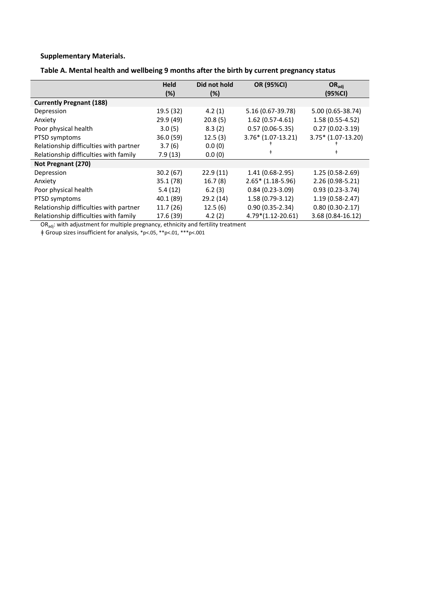## **Supplementary Materials.**

ł,

| Table A. Mental health and wellbeing 9 months after the birth by current pregnancy status |  |  |
|-------------------------------------------------------------------------------------------|--|--|
|-------------------------------------------------------------------------------------------|--|--|

|                                        | <b>Held</b><br>(%) | Did not hold<br>(%) | OR (95%CI)           | $OR_{\text{adi}}$<br>(95%CI) |
|----------------------------------------|--------------------|---------------------|----------------------|------------------------------|
| <b>Currently Pregnant (188)</b>        |                    |                     |                      |                              |
| Depression                             | 19.5 (32)          | 4.2(1)              | 5.16 (0.67-39.78)    | 5.00 (0.65-38.74)            |
| Anxiety                                | 29.9(49)           | 20.8(5)             | $1.62(0.57-4.61)$    | 1.58 (0.55-4.52)             |
| Poor physical health                   | 3.0(5)             | 8.3(2)              | $0.57(0.06-5.35)$    | $0.27(0.02-3.19)$            |
| PTSD symptoms                          | 36.0(59)           | 12.5(3)             | $3.76*$ (1.07-13.21) | $3.75* (1.07-13.20)$         |
| Relationship difficulties with partner | 3.7(6)             | 0.0(0)              |                      |                              |
| Relationship difficulties with family  | 7.9(13)            | 0.0(0)              |                      |                              |
| Not Pregnant (270)                     |                    |                     |                      |                              |
| Depression                             | 30.2(67)           | 22.9(11)            | $1.41(0.68-2.95)$    | $1.25(0.58-2.69)$            |
| Anxiety                                | 35.1(78)           | 16.7(8)             | $2.65*$ (1.18-5.96)  | 2.26 (0.98-5.21)             |
| Poor physical health                   | 5.4(12)            | 6.2(3)              | $0.84(0.23-3.09)$    | $0.93(0.23-3.74)$            |
| PTSD symptoms                          | 40.1 (89)          | 29.2(14)            | 1.58 (0.79-3.12)     | 1.19 (0.58-2.47)             |
| Relationship difficulties with partner | 11.7(26)           | 12.5(6)             | $0.90(0.35-2.34)$    | $0.80(0.30-2.17)$            |
| Relationship difficulties with family  | 17.6 (39)          | 4.2(2)              | $4.79*(1.12-20.61)$  | 3.68 (0.84-16.12)            |

OR<sub>adj</sub>: with adjustment for multiple pregnancy, ethnicity and fertility treatment

ǂ Group sizes insufficient for analysis, \*p<.05, \*\*p<.01, \*\*\*p<.001